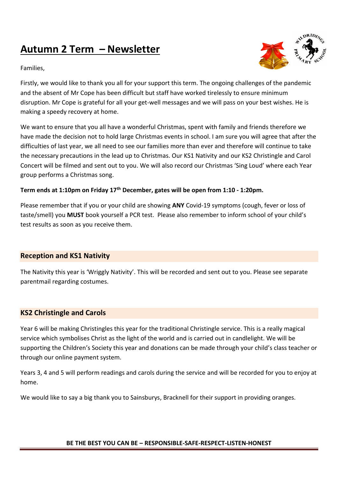# **Autumn 2 Term – Newsletter**

Families,



Firstly, we would like to thank you all for your support this term. The ongoing challenges of the pandemic and the absent of Mr Cope has been difficult but staff have worked tirelessly to ensure minimum disruption. Mr Cope is grateful for all your get-well messages and we will pass on your best wishes. He is making a speedy recovery at home.

We want to ensure that you all have a wonderful Christmas, spent with family and frie[nds the](https://creativecommons.org/licenses/by-nc/3.0/)refore we have made the decision not to hold large Christmas events in school. I am sure you will agree that after the difficulties of last year, we all need to see our families more than ever and therefore will continue to take the necessary precautions in the lead up to Christmas. Our KS1 Nativity and our KS2 Christingle and Carol Concert will be filmed and sent out to you. We will also record our Christmas 'Sing Loud' where each Year group performs a Christmas song.

#### **Term ends at 1:10pm on Friday 17th December, gates will be open from 1:10 - 1:20pm.**

Please remember that if you or your child are showing **ANY** Covid-19 symptoms (cough, fever or loss of taste/smell) you **MUST** book yourself a PCR test. Please also remember to inform school of your child's test results as soon as you receive them.

## **Reception and KS1 Nativity**

The Nativity this year is 'Wriggly Nativity'. This will be recorded and sent out to you. Please see separate parentmail regarding costumes.

## **KS2 Christingle and Carols**

Year 6 will be making Christingles this year for the traditional Christingle service. This is a really magical service which symbolises Christ as the light of the world and is carried out in candlelight. We will be supporting the Children's Society this year and donations can be made through your child's class teacher or through our online payment system.

Years 3, 4 and 5 will perform readings and carols during the service and will be recorded for you to enjoy at home.

We would like to say a big thank you to Sainsburys, Bracknell for their support in providing oranges.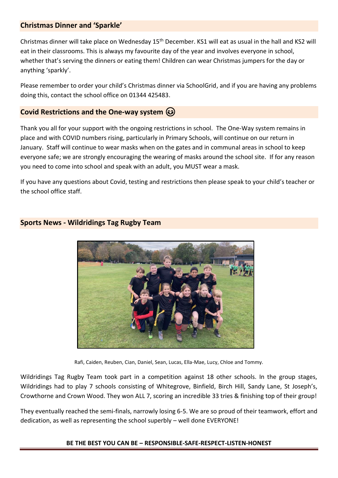## **Christmas Dinner and 'Sparkle'**

Christmas dinner will take place on Wednesday 15<sup>th</sup> December. KS1 will eat as usual in the hall and KS2 will eat in their classrooms. This is always my favourite day of the year and involves everyone in school, whether that's serving the dinners or eating them! Children can wear Christmas jumpers for the day or anything 'sparkly'.

Please remember to order your child's Christmas dinner via SchoolGrid, and if you are having any problems doing this, contact the school office on 01344 425483.

## **Covid Restrictions and the One-way system**

Thank you all for your support with the ongoing restrictions in school. The One-Way system remains in place and with COVID numbers rising, particularly in Primary Schools, will continue on our return in January. Staff will continue to wear masks when on the gates and in communal areas in school to keep everyone safe; we are strongly encouraging the wearing of masks around the school site. If for any reason you need to come into school and speak with an adult, you MUST wear a mask.

If you have any questions about Covid, testing and restrictions then please speak to your child's teacher or the school office staff.



## **Sports News - Wildridings Tag Rugby Team**

Rafi, Caiden, Reuben, Cian, Daniel, Sean, Lucas, Ella-Mae, Lucy, Chloe and Tommy.

Wildridings Tag Rugby Team took part in a competition against 18 other schools. In the group stages, Wildridings had to play 7 schools consisting of Whitegrove, Binfield, Birch Hill, Sandy Lane, St Joseph's, Crowthorne and Crown Wood. They won ALL 7, scoring an incredible 33 tries & finishing top of their group!

They eventually reached the semi-finals, narrowly losing 6-5. We are so proud of their teamwork, effort and dedication, as well as representing the school superbly – well done EVERYONE!

#### **BE THE BEST YOU CAN BE – RESPONSIBLE-SAFE-RESPECT-LISTEN-HONEST**